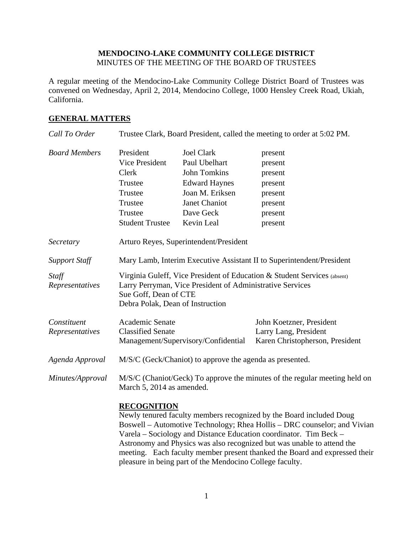### **MENDOCINO-LAKE COMMUNITY COLLEGE DISTRICT**  MINUTES OF THE MEETING OF THE BOARD OF TRUSTEES

A regular meeting of the Mendocino-Lake Community College District Board of Trustees was convened on Wednesday, April 2, 2014, Mendocino College, 1000 Hensley Creek Road, Ukiah, California.

## **GENERAL MATTERS**

| Call To Order                  | Trustee Clark, Board President, called the meeting to order at 5:02 PM.                                                                                                                                                                                                                                              |                                     |                                                                                      |
|--------------------------------|----------------------------------------------------------------------------------------------------------------------------------------------------------------------------------------------------------------------------------------------------------------------------------------------------------------------|-------------------------------------|--------------------------------------------------------------------------------------|
| <b>Board Members</b>           | President                                                                                                                                                                                                                                                                                                            | <b>Joel Clark</b>                   | present                                                                              |
|                                | <b>Vice President</b>                                                                                                                                                                                                                                                                                                | Paul Ubelhart                       | present                                                                              |
|                                | Clerk                                                                                                                                                                                                                                                                                                                | <b>John Tomkins</b>                 | present                                                                              |
|                                | Trustee                                                                                                                                                                                                                                                                                                              | <b>Edward Haynes</b>                | present                                                                              |
|                                | Trustee                                                                                                                                                                                                                                                                                                              | Joan M. Eriksen                     | present                                                                              |
|                                | Trustee                                                                                                                                                                                                                                                                                                              | Janet Chaniot                       | present                                                                              |
|                                | Trustee                                                                                                                                                                                                                                                                                                              | Dave Geck                           | present                                                                              |
|                                | <b>Student Trustee</b>                                                                                                                                                                                                                                                                                               | Kevin Leal                          | present                                                                              |
| Secretary                      | Arturo Reyes, Superintendent/President                                                                                                                                                                                                                                                                               |                                     |                                                                                      |
| <b>Support Staff</b>           | Mary Lamb, Interim Executive Assistant II to Superintendent/President                                                                                                                                                                                                                                                |                                     |                                                                                      |
| Staff<br>Representatives       | Virginia Guleff, Vice President of Education & Student Services (absent)<br>Larry Perryman, Vice President of Administrative Services<br>Sue Goff, Dean of CTE<br>Debra Polak, Dean of Instruction                                                                                                                   |                                     |                                                                                      |
| Constituent<br>Representatives | Academic Senate<br><b>Classified Senate</b>                                                                                                                                                                                                                                                                          | Management/Supervisory/Confidential | John Koetzner, President<br>Larry Lang, President<br>Karen Christopherson, President |
| Agenda Approval                | M/S/C (Geck/Chaniot) to approve the agenda as presented.                                                                                                                                                                                                                                                             |                                     |                                                                                      |
| Minutes/Approval               | M/S/C (Chaniot/Geck) To approve the minutes of the regular meeting held on<br>March 5, 2014 as amended.                                                                                                                                                                                                              |                                     |                                                                                      |
|                                | <b>RECOGNITION</b><br>Newly tenured faculty members recognized by the Board included Doug<br>Boswell – Automotive Technology; Rhea Hollis – DRC counselor; and Vivian<br>Varela – Sociology and Distance Education coordinator. Tim Beck –<br>Astronomy and Physics was also recognized but was unable to attend the |                                     |                                                                                      |

pleasure in being part of the Mendocino College faculty.

meeting. Each faculty member present thanked the Board and expressed their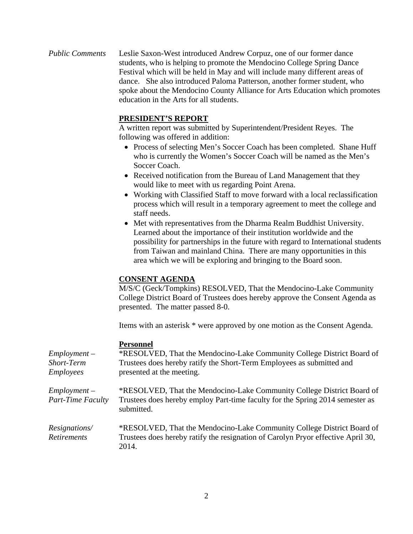*Public Comments* Leslie Saxon-West introduced Andrew Corpuz, one of our former dance students, who is helping to promote the Mendocino College Spring Dance Festival which will be held in May and will include many different areas of dance. She also introduced Paloma Patterson, another former student, who spoke about the Mendocino County Alliance for Arts Education which promotes education in the Arts for all students.

# **PRESIDENT'S REPORT**

A written report was submitted by Superintendent/President Reyes. The following was offered in addition:

- Process of selecting Men's Soccer Coach has been completed. Shane Huff who is currently the Women's Soccer Coach will be named as the Men's Soccer Coach.
- Received notification from the Bureau of Land Management that they would like to meet with us regarding Point Arena.
- Working with Classified Staff to move forward with a local reclassification process which will result in a temporary agreement to meet the college and staff needs.
- Met with representatives from the Dharma Realm Buddhist University. Learned about the importance of their institution worldwide and the possibility for partnerships in the future with regard to International students from Taiwan and mainland China. There are many opportunities in this area which we will be exploring and bringing to the Board soon.

### **CONSENT AGENDA**

M/S/C (Geck/Tompkins) RESOLVED, That the Mendocino-Lake Community College District Board of Trustees does hereby approve the Consent Agenda as presented. The matter passed 8-0.

Items with an asterisk \* were approved by one motion as the Consent Agenda.

### **Personnel**

| $Employment -$<br>Short-Term<br><b>Employees</b> | *RESOLVED, That the Mendocino-Lake Community College District Board of<br>Trustees does hereby ratify the Short-Term Employees as submitted and<br>presented at the meeting. |
|--------------------------------------------------|------------------------------------------------------------------------------------------------------------------------------------------------------------------------------|
| $Employment -$<br>Part-Time Faculty              | *RESOLVED, That the Mendocino-Lake Community College District Board of<br>Trustees does hereby employ Part-time faculty for the Spring 2014 semester as<br>submitted.        |
| <i>Resignations</i> /<br><b>Retirements</b>      | *RESOLVED, That the Mendocino-Lake Community College District Board of<br>Trustees does hereby ratify the resignation of Carolyn Pryor effective April 30,<br>2014.          |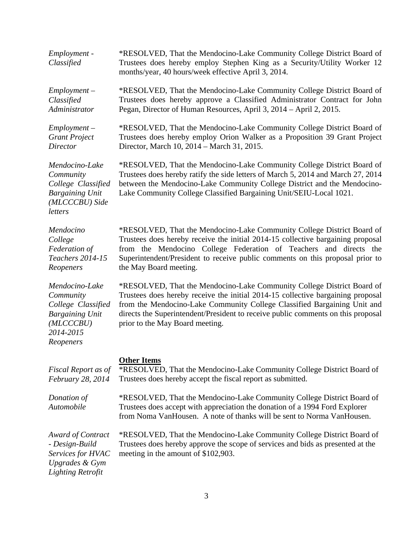| Employment -<br>Classified                                                                                         | *RESOLVED, That the Mendocino-Lake Community College District Board of<br>Trustees does hereby employ Stephen King as a Security/Utility Worker 12<br>months/year, 40 hours/week effective April 3, 2014.                                                                                                                                                    |  |
|--------------------------------------------------------------------------------------------------------------------|--------------------------------------------------------------------------------------------------------------------------------------------------------------------------------------------------------------------------------------------------------------------------------------------------------------------------------------------------------------|--|
| $Employment -$<br>Classified<br>Administrator                                                                      | *RESOLVED, That the Mendocino-Lake Community College District Board of<br>Trustees does hereby approve a Classified Administrator Contract for John<br>Pegan, Director of Human Resources, April 3, 2014 - April 2, 2015.                                                                                                                                    |  |
| $Employment -$<br><b>Grant Project</b><br>Director                                                                 | *RESOLVED, That the Mendocino-Lake Community College District Board of<br>Trustees does hereby employ Orion Walker as a Proposition 39 Grant Project<br>Director, March 10, 2014 – March 31, 2015.                                                                                                                                                           |  |
| Mendocino-Lake<br>Community<br>College Classified<br><b>Bargaining Unit</b><br>(MLCCCBU) Side<br>letters           | *RESOLVED, That the Mendocino-Lake Community College District Board of<br>Trustees does hereby ratify the side letters of March 5, 2014 and March 27, 2014<br>between the Mendocino-Lake Community College District and the Mendocino-<br>Lake Community College Classified Bargaining Unit/SEIU-Local 1021.                                                 |  |
| Mendocino<br>College<br>Federation of<br>Teachers 2014-15<br>Reopeners                                             | *RESOLVED, That the Mendocino-Lake Community College District Board of<br>Trustees does hereby receive the initial 2014-15 collective bargaining proposal<br>from the Mendocino College Federation of Teachers and directs the<br>Superintendent/President to receive public comments on this proposal prior to<br>the May Board meeting.                    |  |
| Mendocino-Lake<br>Community<br>College Classified<br><b>Bargaining Unit</b><br>(MLCCCBU)<br>2014-2015<br>Reopeners | *RESOLVED, That the Mendocino-Lake Community College District Board of<br>Trustees does hereby receive the initial 2014-15 collective bargaining proposal<br>from the Mendocino-Lake Community College Classified Bargaining Unit and<br>directs the Superintendent/President to receive public comments on this proposal<br>prior to the May Board meeting. |  |
| Fiscal Report as of<br>February 28, 2014                                                                           | <b>Other Items</b><br>*RESOLVED, That the Mendocino-Lake Community College District Board of<br>Trustees does hereby accept the fiscal report as submitted.                                                                                                                                                                                                  |  |
| Donation of<br>Automobile                                                                                          | *RESOLVED, That the Mendocino-Lake Community College District Board of<br>Trustees does accept with appreciation the donation of a 1994 Ford Explorer<br>from Noma VanHousen. A note of thanks will be sent to Norma VanHousen.                                                                                                                              |  |
| Award of Contract<br>- Design-Build<br>Services for HVAC<br><b>Upgrades &amp; Gym</b><br><b>Lighting Retrofit</b>  | *RESOLVED, That the Mendocino-Lake Community College District Board of<br>Trustees does hereby approve the scope of services and bids as presented at the<br>meeting in the amount of \$102,903.                                                                                                                                                             |  |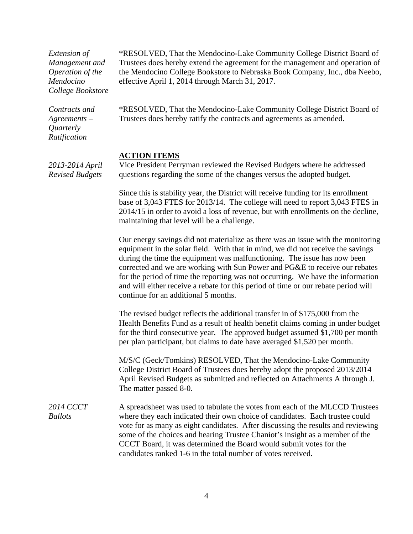| Extension of<br>Management and<br>Operation of the<br>Mendocino<br>College Bookstore | *RESOLVED, That the Mendocino-Lake Community College District Board of<br>Trustees does hereby extend the agreement for the management and operation of<br>the Mendocino College Bookstore to Nebraska Book Company, Inc., dba Neebo,<br>effective April 1, 2014 through March 31, 2017.                                                                                                                                                                                                                                                        |  |
|--------------------------------------------------------------------------------------|-------------------------------------------------------------------------------------------------------------------------------------------------------------------------------------------------------------------------------------------------------------------------------------------------------------------------------------------------------------------------------------------------------------------------------------------------------------------------------------------------------------------------------------------------|--|
| Contracts and<br>$A$ greements –<br>Quarterly<br>Ratification                        | *RESOLVED, That the Mendocino-Lake Community College District Board of<br>Trustees does hereby ratify the contracts and agreements as amended.                                                                                                                                                                                                                                                                                                                                                                                                  |  |
| 2013-2014 April<br><b>Revised Budgets</b>                                            | <b>ACTION ITEMS</b><br>Vice President Perryman reviewed the Revised Budgets where he addressed<br>questions regarding the some of the changes versus the adopted budget.                                                                                                                                                                                                                                                                                                                                                                        |  |
|                                                                                      | Since this is stability year, the District will receive funding for its enrollment<br>base of 3,043 FTES for 2013/14. The college will need to report 3,043 FTES in<br>2014/15 in order to avoid a loss of revenue, but with enrollments on the decline,<br>maintaining that level will be a challenge.                                                                                                                                                                                                                                         |  |
|                                                                                      | Our energy savings did not materialize as there was an issue with the monitoring<br>equipment in the solar field. With that in mind, we did not receive the savings<br>during the time the equipment was malfunctioning. The issue has now been<br>corrected and we are working with Sun Power and PG&E to receive our rebates<br>for the period of time the reporting was not occurring. We have the information<br>and will either receive a rebate for this period of time or our rebate period will<br>continue for an additional 5 months. |  |
|                                                                                      | The revised budget reflects the additional transfer in of \$175,000 from the<br>Health Benefits Fund as a result of health benefit claims coming in under budget<br>for the third consecutive year. The approved budget assumed \$1,700 per month<br>per plan participant, but claims to date have averaged \$1,520 per month.                                                                                                                                                                                                                  |  |
|                                                                                      | M/S/C (Geck/Tomkins) RESOLVED, That the Mendocino-Lake Community<br>College District Board of Trustees does hereby adopt the proposed 2013/2014<br>April Revised Budgets as submitted and reflected on Attachments A through J.<br>The matter passed 8-0.                                                                                                                                                                                                                                                                                       |  |
| <b>2014 CCCT</b><br><b>Ballots</b>                                                   | A spreadsheet was used to tabulate the votes from each of the MLCCD Trustees<br>where they each indicated their own choice of candidates. Each trustee could<br>vote for as many as eight candidates. After discussing the results and reviewing<br>some of the choices and hearing Trustee Chaniot's insight as a member of the<br>CCCT Board, it was determined the Board would submit votes for the<br>candidates ranked 1-6 in the total number of votes received.                                                                          |  |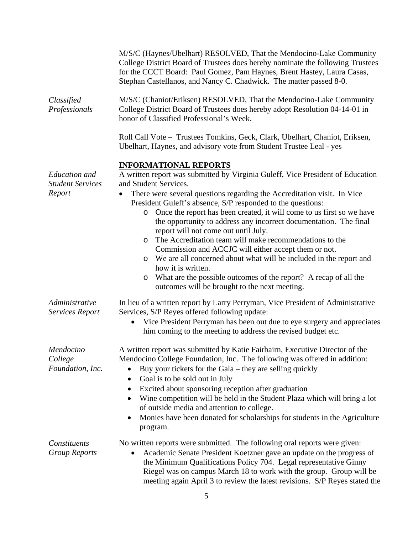| College District Board of Trustees does hereby nominate the following Trustees<br>for the CCCT Board: Paul Gomez, Pam Haynes, Brent Hastey, Laura Casas,<br>Stephan Castellanos, and Nancy C. Chadwick. The matter passed 8-0.                                                                                                                                              |  |  |
|-----------------------------------------------------------------------------------------------------------------------------------------------------------------------------------------------------------------------------------------------------------------------------------------------------------------------------------------------------------------------------|--|--|
| M/S/C (Chaniot/Eriksen) RESOLVED, That the Mendocino-Lake Community<br>College District Board of Trustees does hereby adopt Resolution 04-14-01 in<br>honor of Classified Professional's Week.                                                                                                                                                                              |  |  |
| Roll Call Vote - Trustees Tomkins, Geck, Clark, Ubelhart, Chaniot, Eriksen,<br>Ubelhart, Haynes, and advisory vote from Student Trustee Leal - yes                                                                                                                                                                                                                          |  |  |
|                                                                                                                                                                                                                                                                                                                                                                             |  |  |
| A written report was submitted by Virginia Guleff, Vice President of Education                                                                                                                                                                                                                                                                                              |  |  |
| There were several questions regarding the Accreditation visit. In Vice<br>President Guleff's absence, S/P responded to the questions:                                                                                                                                                                                                                                      |  |  |
| Once the report has been created, it will come to us first so we have<br>the opportunity to address any incorrect documentation. The final<br>report will not come out until July.                                                                                                                                                                                          |  |  |
| The Accreditation team will make recommendations to the                                                                                                                                                                                                                                                                                                                     |  |  |
| Commission and ACCJC will either accept them or not.                                                                                                                                                                                                                                                                                                                        |  |  |
| We are all concerned about what will be included in the report and                                                                                                                                                                                                                                                                                                          |  |  |
| What are the possible outcomes of the report? A recap of all the<br>outcomes will be brought to the next meeting.                                                                                                                                                                                                                                                           |  |  |
| In lieu of a written report by Larry Perryman, Vice President of Administrative<br>Services, S/P Reyes offered following update:                                                                                                                                                                                                                                            |  |  |
| Vice President Perryman has been out due to eye surgery and appreciates<br>him coming to the meeting to address the revised budget etc.                                                                                                                                                                                                                                     |  |  |
| A written report was submitted by Katie Fairbairn, Executive Director of the<br>Mendocino College Foundation, Inc. The following was offered in addition:<br>Buy your tickets for the Gala – they are selling quickly                                                                                                                                                       |  |  |
| Excited about sponsoring reception after graduation<br>Wine competition will be held in the Student Plaza which will bring a lot<br>of outside media and attention to college.                                                                                                                                                                                              |  |  |
| Monies have been donated for scholarships for students in the Agriculture                                                                                                                                                                                                                                                                                                   |  |  |
| No written reports were submitted. The following oral reports were given:<br>Academic Senate President Koetzner gave an update on the progress of<br>the Minimum Qualifications Policy 704. Legal representative Ginny<br>Riegel was on campus March 18 to work with the group. Group will be<br>meeting again April 3 to review the latest revisions. S/P Reyes stated the |  |  |
|                                                                                                                                                                                                                                                                                                                                                                             |  |  |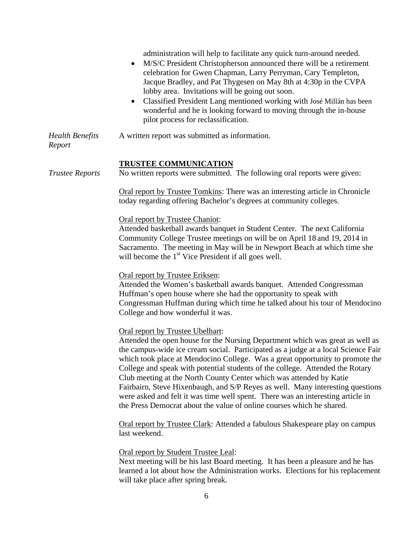|                                  | administration will help to facilitate any quick turn-around needed.<br>M/S/C President Christopherson announced there will be a retirement<br>celebration for Gwen Chapman, Larry Perryman, Cary Templeton,<br>Jacque Bradley, and Pat Thygesen on May 8th at 4:30p in the CVPA<br>lobby area. Invitations will be going out soon.<br>Classified President Lang mentioned working with José Millán has been<br>wonderful and he is looking forward to moving through the in-house<br>pilot process for reclassification.                                                                                                                                                                     |
|----------------------------------|-----------------------------------------------------------------------------------------------------------------------------------------------------------------------------------------------------------------------------------------------------------------------------------------------------------------------------------------------------------------------------------------------------------------------------------------------------------------------------------------------------------------------------------------------------------------------------------------------------------------------------------------------------------------------------------------------|
| <b>Health Benefits</b><br>Report | A written report was submitted as information.                                                                                                                                                                                                                                                                                                                                                                                                                                                                                                                                                                                                                                                |
| <b>Trustee Reports</b>           | <b>TRUSTEE COMMUNICATION</b><br>No written reports were submitted. The following oral reports were given:                                                                                                                                                                                                                                                                                                                                                                                                                                                                                                                                                                                     |
|                                  | Oral report by Trustee Tomkins: There was an interesting article in Chronicle<br>today regarding offering Bachelor's degrees at community colleges.                                                                                                                                                                                                                                                                                                                                                                                                                                                                                                                                           |
|                                  | Oral report by Trustee Chaniot:<br>Attended basketball awards banquet in Student Center. The next California<br>Community College Trustee meetings on will be on April 18 and 19, 2014 in<br>Sacramento. The meeting in May will be in Newport Beach at which time she<br>will become the $1st$ Vice President if all goes well.                                                                                                                                                                                                                                                                                                                                                              |
|                                  | Oral report by Trustee Eriksen:<br>Attended the Women's basketball awards banquet. Attended Congressman<br>Huffman's open house where she had the opportunity to speak with<br>Congressman Huffman during which time he talked about his tour of Mendocino<br>College and how wonderful it was.                                                                                                                                                                                                                                                                                                                                                                                               |
|                                  | Oral report by Trustee Ubelhart:<br>Attended the open house for the Nursing Department which was great as well as<br>the campus-wide ice cream social. Participated as a judge at a local Science Fair<br>which took place at Mendocino College. Was a great opportunity to promote the<br>College and speak with potential students of the college. Attended the Rotary<br>Club meeting at the North County Center which was attended by Katie<br>Fairbairn, Steve Hixenbaugh, and S/P Reyes as well. Many interesting questions<br>were asked and felt it was time well spent. There was an interesting article in<br>the Press Democrat about the value of online courses which he shared. |
|                                  | Oral report by Trustee Clark: Attended a fabulous Shakespeare play on campus<br>last weekend.                                                                                                                                                                                                                                                                                                                                                                                                                                                                                                                                                                                                 |
|                                  | Oral report by Student Trustee Leal:<br>Next meeting will be his last Board meeting. It has been a pleasure and he has<br>learned a lot about how the Administration works. Elections for his replacement<br>will take place after spring break.                                                                                                                                                                                                                                                                                                                                                                                                                                              |